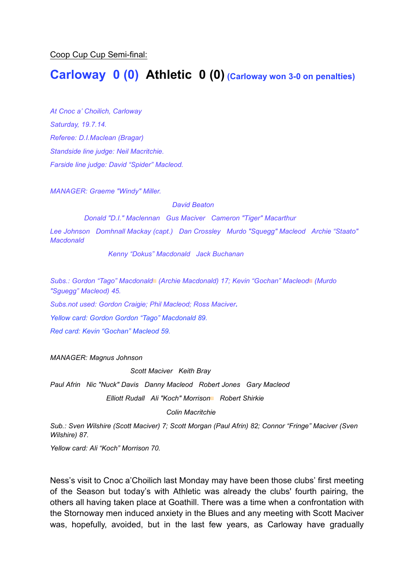Coop Cup Cup Semi-final:

# **Carloway 0 (0) Athletic 0 (0) (Carloway won 3-0 on penalties)**

*At Cnoc a' Choilich, Carloway Saturday, 19.7.14. Referee: D.I.Maclean (Bragar) Standside line judge: Neil Macritchie. Farside line judge: David "Spider" Macleod.*

*MANAGER: Graeme "Windy" Miller.* 

*David Beaton*

*Donald "D.I." Maclennan Gus Maciver Cameron "Tiger" Macarthur*

*Lee Johnson Domhnall Mackay (capt.) Dan Crossley Murdo "Squegg" Macleod Archie "Staato" Macdonald*

*Kenny "Dokus" Macdonald Jack Buchanan*

*Subs.: Gordon "Tago" Macdonald*▩ *(Archie Macdonald) 17; Kevin "Gochan" Macleod*▩ *(Murdo "Sguegg" Macleod) 45.*

*Subs.not used: Gordon Craigie; Phil Macleod; Ross Maciver.*

*Yellow card: Gordon Gordon "Tago" Macdonald 89.*

*Red card: Kevin "Gochan" Macleod 59.*

*MANAGER: Magnus Johnson*

*Scott Maciver Keith Bray*

*Paul Afrin Nic "Nuck" Davis Danny Macleod Robert Jones Gary Macleod Elliott Rudall Ali "Koch" Morrison*▩ *Robert Shirkie*

#### *Colin Macritchie*

*Sub.: Sven Wilshire (Scott Maciver) 7; Scott Morgan (Paul Afrin) 82; Connor "Fringe" Maciver (Sven Wilshire) 87.* 

*Yellow card: Ali "Koch" Morrison 70.*

Ness's visit to Cnoc a'Choilich last Monday may have been those clubs' first meeting of the Season but today's with Athletic was already the clubs' fourth pairing, the others all having taken place at Goathill. There was a time when a confrontation with the Stornoway men induced anxiety in the Blues and any meeting with Scott Maciver was, hopefully, avoided, but in the last few years, as Carloway have gradually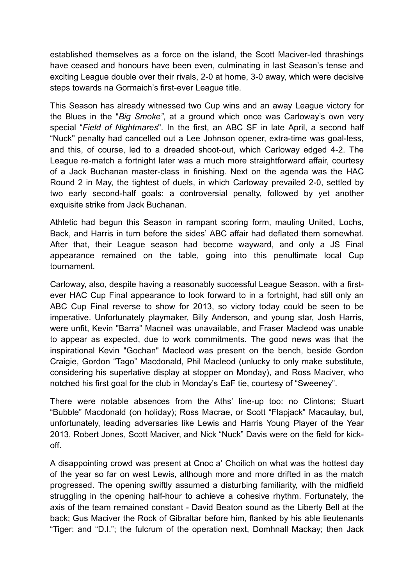established themselves as a force on the island, the Scott Maciver-led thrashings have ceased and honours have been even, culminating in last Season's tense and exciting League double over their rivals, 2-0 at home, 3-0 away, which were decisive steps towards na Gormaich's first-ever League title.

This Season has already witnessed two Cup wins and an away League victory for the Blues in the "*Big Smoke"*, at a ground which once was Carloway's own very special "*Field of Nightmares*". In the first, an ABC SF in late April, a second half "Nuck" penalty had cancelled out a Lee Johnson opener, extra-time was goal-less, and this, of course, led to a dreaded shoot-out, which Carloway edged 4-2. The League re-match a fortnight later was a much more straightforward affair, courtesy of a Jack Buchanan master-class in finishing. Next on the agenda was the HAC Round 2 in May, the tightest of duels, in which Carloway prevailed 2-0, settled by two early second-half goals: a controversial penalty, followed by yet another exquisite strike from Jack Buchanan.

Athletic had begun this Season in rampant scoring form, mauling United, Lochs, Back, and Harris in turn before the sides' ABC affair had deflated them somewhat. After that, their League season had become wayward, and only a JS Final appearance remained on the table, going into this penultimate local Cup tournament.

Carloway, also, despite having a reasonably successful League Season, with a firstever HAC Cup Final appearance to look forward to in a fortnight, had still only an ABC Cup Final reverse to show for 2013, so victory today could be seen to be imperative. Unfortunately playmaker, Billy Anderson, and young star, Josh Harris, were unfit, Kevin "Barra" Macneil was unavailable, and Fraser Macleod was unable to appear as expected, due to work commitments. The good news was that the inspirational Kevin "Gochan" Macleod was present on the bench, beside Gordon Craigie, Gordon "Tago" Macdonald, Phil Macleod (unlucky to only make substitute, considering his superlative display at stopper on Monday), and Ross Maciver, who notched his first goal for the club in Monday's EaF tie, courtesy of "Sweeney".

There were notable absences from the Aths' line-up too: no Clintons; Stuart "Bubble" Macdonald (on holiday); Ross Macrae, or Scott "Flapjack" Macaulay, but, unfortunately, leading adversaries like Lewis and Harris Young Player of the Year 2013, Robert Jones, Scott Maciver, and Nick "Nuck" Davis were on the field for kickoff.

A disappointing crowd was present at Cnoc a' Choilich on what was the hottest day of the year so far on west Lewis, although more and more drifted in as the match progressed. The opening swiftly assumed a disturbing familiarity, with the midfield struggling in the opening half-hour to achieve a cohesive rhythm. Fortunately, the axis of the team remained constant - David Beaton sound as the Liberty Bell at the back; Gus Maciver the Rock of Gibraltar before him, flanked by his able lieutenants "Tiger: and "D.I."; the fulcrum of the operation next, Domhnall Mackay; then Jack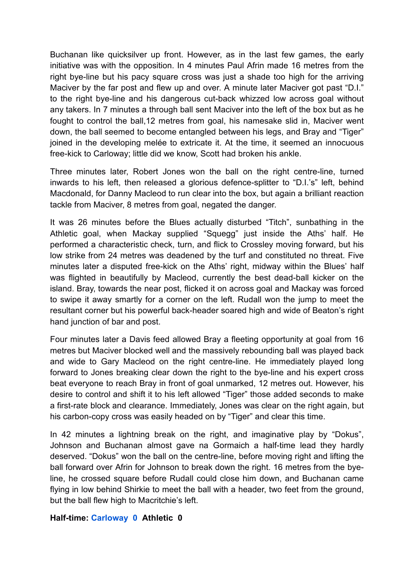Buchanan like quicksilver up front. However, as in the last few games, the early initiative was with the opposition. In 4 minutes Paul Afrin made 16 metres from the right bye-line but his pacy square cross was just a shade too high for the arriving Maciver by the far post and flew up and over. A minute later Maciver got past "D.I." to the right bye-line and his dangerous cut-back whizzed low across goal without any takers. In 7 minutes a through ball sent Maciver into the left of the box but as he fought to control the ball,12 metres from goal, his namesake slid in, Maciver went down, the ball seemed to become entangled between his legs, and Bray and "Tiger" joined in the developing melée to extricate it. At the time, it seemed an innocuous free-kick to Carloway; little did we know, Scott had broken his ankle.

Three minutes later, Robert Jones won the ball on the right centre-line, turned inwards to his left, then released a glorious defence-splitter to "D.I.'s" left, behind Macdonald, for Danny Macleod to run clear into the box, but again a brilliant reaction tackle from Maciver, 8 metres from goal, negated the danger.

It was 26 minutes before the Blues actually disturbed "Titch", sunbathing in the Athletic goal, when Mackay supplied "Squegg" just inside the Aths' half. He performed a characteristic check, turn, and flick to Crossley moving forward, but his low strike from 24 metres was deadened by the turf and constituted no threat. Five minutes later a disputed free-kick on the Aths' right, midway within the Blues' half was flighted in beautifully by Macleod, currently the best dead-ball kicker on the island. Bray, towards the near post, flicked it on across goal and Mackay was forced to swipe it away smartly for a corner on the left. Rudall won the jump to meet the resultant corner but his powerful back-header soared high and wide of Beaton's right hand junction of bar and post.

Four minutes later a Davis feed allowed Bray a fleeting opportunity at goal from 16 metres but Maciver blocked well and the massively rebounding ball was played back and wide to Gary Macleod on the right centre-line. He immediately played long forward to Jones breaking clear down the right to the bye-line and his expert cross beat everyone to reach Bray in front of goal unmarked, 12 metres out. However, his desire to control and shift it to his left allowed "Tiger" those added seconds to make a first-rate block and clearance. Immediately, Jones was clear on the right again, but his carbon-copy cross was easily headed on by "Tiger" and clear this time.

In 42 minutes a lightning break on the right, and imaginative play by "Dokus", Johnson and Buchanan almost gave na Gormaich a half-time lead they hardly deserved. "Dokus" won the ball on the centre-line, before moving right and lifting the ball forward over Afrin for Johnson to break down the right. 16 metres from the byeline, he crossed square before Rudall could close him down, and Buchanan came flying in low behind Shirkie to meet the ball with a header, two feet from the ground, but the ball flew high to Macritchie's left.

## **Half-time: Carloway 0 Athletic 0**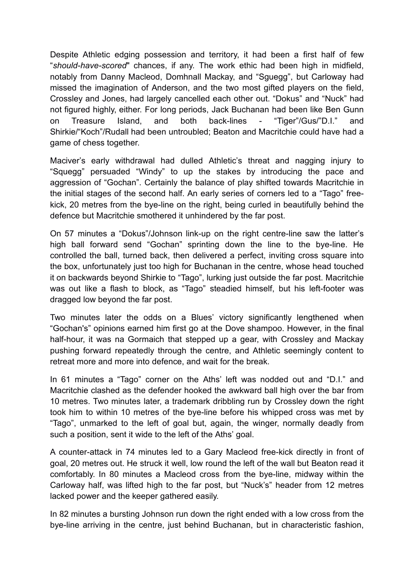Despite Athletic edging possession and territory, it had been a first half of few "*should-have-scored*" chances, if any. The work ethic had been high in midfield, notably from Danny Macleod, Domhnall Mackay, and "Sguegg", but Carloway had missed the imagination of Anderson, and the two most gifted players on the field, Crossley and Jones, had largely cancelled each other out. "Dokus" and "Nuck" had not figured highly, either. For long periods, Jack Buchanan had been like Ben Gunn on Treasure Island, and both back-lines - "Tiger"/Gus/"D.I." and Shirkie/"Koch"/Rudall had been untroubled; Beaton and Macritchie could have had a game of chess together.

Maciver's early withdrawal had dulled Athletic's threat and nagging injury to "Squegg" persuaded "Windy" to up the stakes by introducing the pace and aggression of "Gochan". Certainly the balance of play shifted towards Macritchie in the initial stages of the second half. An early series of corners led to a "Tago" freekick, 20 metres from the bye-line on the right, being curled in beautifully behind the defence but Macritchie smothered it unhindered by the far post.

On 57 minutes a "Dokus"/Johnson link-up on the right centre-line saw the latter's high ball forward send "Gochan" sprinting down the line to the bye-line. He controlled the ball, turned back, then delivered a perfect, inviting cross square into the box, unfortunately just too high for Buchanan in the centre, whose head touched it on backwards beyond Shirkie to "Tago", lurking just outside the far post. Macritchie was out like a flash to block, as "Tago" steadied himself, but his left-footer was dragged low beyond the far post.

Two minutes later the odds on a Blues' victory significantly lengthened when "Gochan's" opinions earned him first go at the Dove shampoo. However, in the final half-hour, it was na Gormaich that stepped up a gear, with Crossley and Mackay pushing forward repeatedly through the centre, and Athletic seemingly content to retreat more and more into defence, and wait for the break.

In 61 minutes a "Tago" corner on the Aths' left was nodded out and "D.I." and Macritchie clashed as the defender hooked the awkward ball high over the bar from 10 metres. Two minutes later, a trademark dribbling run by Crossley down the right took him to within 10 metres of the bye-line before his whipped cross was met by "Tago", unmarked to the left of goal but, again, the winger, normally deadly from such a position, sent it wide to the left of the Aths' goal.

A counter-attack in 74 minutes led to a Gary Macleod free-kick directly in front of goal, 20 metres out. He struck it well, low round the left of the wall but Beaton read it comfortably. In 80 minutes a Macleod cross from the bye-line, midway within the Carloway half, was lifted high to the far post, but "Nuck's" header from 12 metres lacked power and the keeper gathered easily.

In 82 minutes a bursting Johnson run down the right ended with a low cross from the bye-line arriving in the centre, just behind Buchanan, but in characteristic fashion,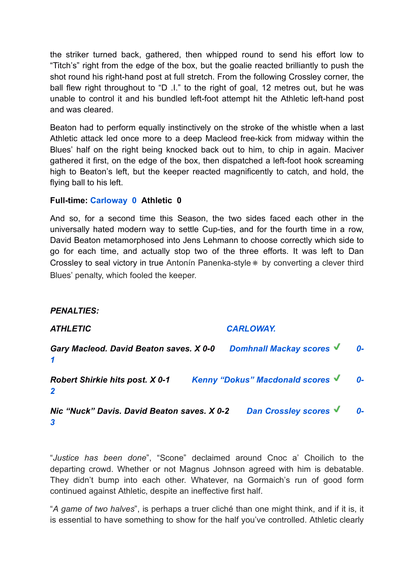the striker turned back, gathered, then whipped round to send his effort low to "Titch's" right from the edge of the box, but the goalie reacted brilliantly to push the shot round his right-hand post at full stretch. From the following Crossley corner, the ball flew right throughout to "D .I." to the right of goal, 12 metres out, but he was unable to control it and his bundled left-foot attempt hit the Athletic left-hand post and was cleared.

Beaton had to perform equally instinctively on the stroke of the whistle when a last Athletic attack led once more to a deep Macleod free-kick from midway within the Blues' half on the right being knocked back out to him, to chip in again. Maciver gathered it first, on the edge of the box, then dispatched a left-foot hook screaming high to Beaton's left, but the keeper reacted magnificently to catch, and hold, the flying ball to his left.

# **Full-time: Carloway 0 Athletic 0**

And so, for a second time this Season, the two sides faced each other in the universally hated modern way to settle Cup-ties, and for the fourth time in a row, David Beaton metamorphosed into Jens Lehmann to choose correctly which side to go for each time, and actually stop two of the three efforts. It was left to Dan Crossley to seal victory in true Antonín Panenka-style✵ by converting a clever third Blues' penalty, which fooled the keeper.

## *PENALTIES:*

*ATHLETIC CARLOWAY. Gary Macleod. David Beaton saves. X 0-0 Domhnall Mackay scores ︎ 0- 1 Robert Shirkie hits post. X 0-1 Kenny "Dokus" Macdonald scores ︎ 0- 2 Nic "Nuck" Davis. David Beaton saves. X 0-2 Dan Crossley scores ︎ 0- 3*

"*Justice has been done*", "Scone" declaimed around Cnoc a' Choilich to the departing crowd. Whether or not Magnus Johnson agreed with him is debatable. They didn't bump into each other. Whatever, na Gormaich's run of good form continued against Athletic, despite an ineffective first half.

"*A game of two halves*", is perhaps a truer cliché than one might think, and if it is, it is essential to have something to show for the half you've controlled. Athletic clearly